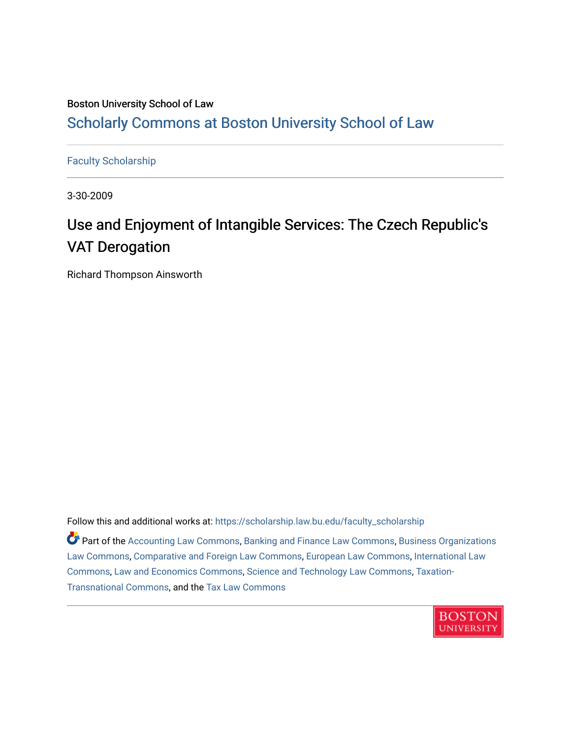# Boston University School of Law [Scholarly Commons at Boston University School of Law](https://scholarship.law.bu.edu/)

[Faculty Scholarship](https://scholarship.law.bu.edu/faculty_scholarship)

3-30-2009

# Use and Enjoyment of Intangible Services: The Czech Republic's VAT Derogation

Richard Thompson Ainsworth

Follow this and additional works at: [https://scholarship.law.bu.edu/faculty\\_scholarship](https://scholarship.law.bu.edu/faculty_scholarship?utm_source=scholarship.law.bu.edu%2Ffaculty_scholarship%2F1483&utm_medium=PDF&utm_campaign=PDFCoverPages)

Part of the [Accounting Law Commons](http://network.bepress.com/hgg/discipline/828?utm_source=scholarship.law.bu.edu%2Ffaculty_scholarship%2F1483&utm_medium=PDF&utm_campaign=PDFCoverPages), [Banking and Finance Law Commons](http://network.bepress.com/hgg/discipline/833?utm_source=scholarship.law.bu.edu%2Ffaculty_scholarship%2F1483&utm_medium=PDF&utm_campaign=PDFCoverPages), [Business Organizations](http://network.bepress.com/hgg/discipline/900?utm_source=scholarship.law.bu.edu%2Ffaculty_scholarship%2F1483&utm_medium=PDF&utm_campaign=PDFCoverPages) [Law Commons,](http://network.bepress.com/hgg/discipline/900?utm_source=scholarship.law.bu.edu%2Ffaculty_scholarship%2F1483&utm_medium=PDF&utm_campaign=PDFCoverPages) [Comparative and Foreign Law Commons](http://network.bepress.com/hgg/discipline/836?utm_source=scholarship.law.bu.edu%2Ffaculty_scholarship%2F1483&utm_medium=PDF&utm_campaign=PDFCoverPages), [European Law Commons,](http://network.bepress.com/hgg/discipline/1084?utm_source=scholarship.law.bu.edu%2Ffaculty_scholarship%2F1483&utm_medium=PDF&utm_campaign=PDFCoverPages) [International Law](http://network.bepress.com/hgg/discipline/609?utm_source=scholarship.law.bu.edu%2Ffaculty_scholarship%2F1483&utm_medium=PDF&utm_campaign=PDFCoverPages)  [Commons](http://network.bepress.com/hgg/discipline/609?utm_source=scholarship.law.bu.edu%2Ffaculty_scholarship%2F1483&utm_medium=PDF&utm_campaign=PDFCoverPages), [Law and Economics Commons](http://network.bepress.com/hgg/discipline/612?utm_source=scholarship.law.bu.edu%2Ffaculty_scholarship%2F1483&utm_medium=PDF&utm_campaign=PDFCoverPages), [Science and Technology Law Commons,](http://network.bepress.com/hgg/discipline/875?utm_source=scholarship.law.bu.edu%2Ffaculty_scholarship%2F1483&utm_medium=PDF&utm_campaign=PDFCoverPages) [Taxation-](http://network.bepress.com/hgg/discipline/883?utm_source=scholarship.law.bu.edu%2Ffaculty_scholarship%2F1483&utm_medium=PDF&utm_campaign=PDFCoverPages)[Transnational Commons](http://network.bepress.com/hgg/discipline/883?utm_source=scholarship.law.bu.edu%2Ffaculty_scholarship%2F1483&utm_medium=PDF&utm_campaign=PDFCoverPages), and the [Tax Law Commons](http://network.bepress.com/hgg/discipline/898?utm_source=scholarship.law.bu.edu%2Ffaculty_scholarship%2F1483&utm_medium=PDF&utm_campaign=PDFCoverPages) 

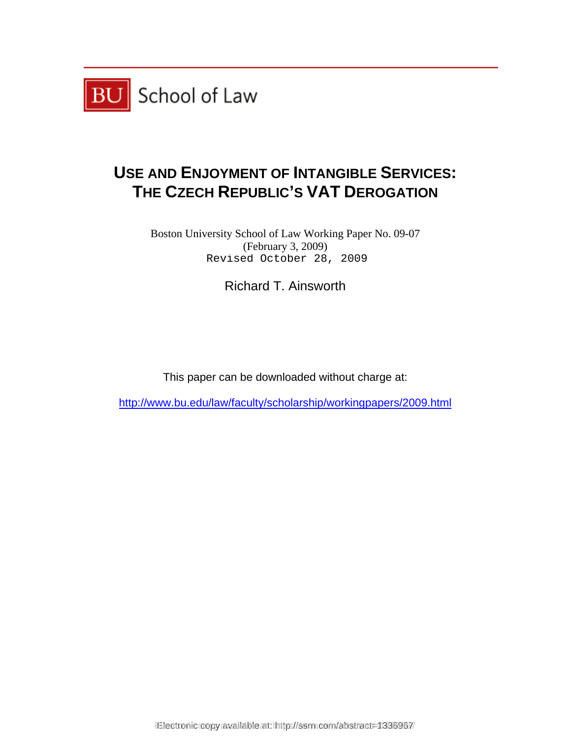

# **USE AND ENJOYMENT OF INTANGIBLE SERVICES: THE CZECH REPUBLIC'S VAT DEROGATION**

Boston University School of Law Working Paper No. 09-07 (February 3, 2009)<br>Revised October 28, 2009

Richard T. Ainsworth

This paper can be downloaded without charge at: Revised October 28, 2009<br>Richard T. Ainsworth<br>This paper can be downloaded without charge at:<br>ww.bu.edu/law/faculty/scholarship/workingpapers/20<br>Rectronic copy available at: https://ssm.com/abstract=1336967

http://www.bu.edu/law/faculty/scholarship/workingpapers/2009.html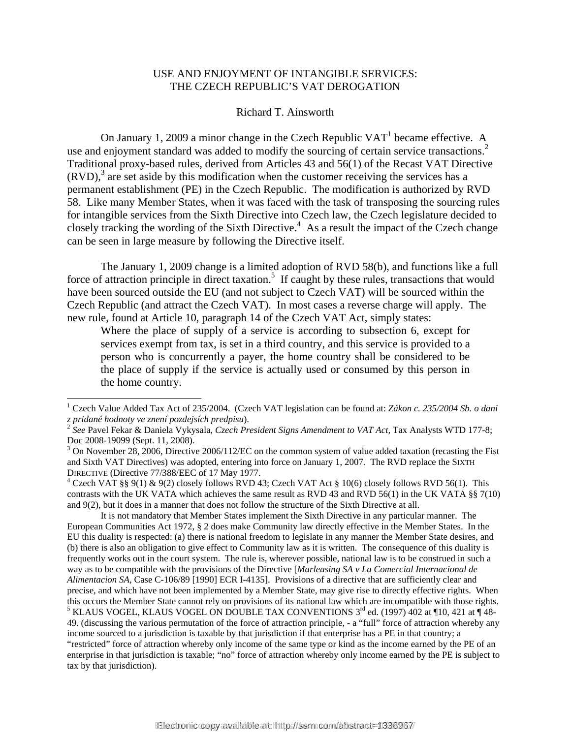# USE AND ENJOYMENT OF INTANGIBLE SERVICES: THE CZECH REPUBLIC'S VAT DEROGATION

Richard T. Ainsworth

On January 1, 2009 a minor change in the Czech Republic  $VAT<sup>1</sup>$  became effective. A use and enjoyment standard was added to modify the sourcing of certain service transactions.<sup>2</sup> Traditional proxy-based rules, derived from Articles 43 and 56(1) of the Recast VAT Directive  $(RVD)$ ,<sup>3</sup> are set aside by this modification when the customer receiving the services has a permanent establishment (PE) in the Czech Republic. The modification is authorized by RVD 58. Like many Member States, when it was faced with the task of transposing the sourcing rules for intangible services from the Sixth Directive into Czech law, the Czech legislature decided to closely tracking the wording of the Sixth Directive.<sup>4</sup> As a result the impact of the Czech change can be seen in large measure by following the Directive itself.

The January 1, 2009 change is a limited adoption of RVD 58(b), and functions like a full force of attraction principle in direct taxation.<sup>5</sup> If caught by these rules, transactions that would have been sourced outside the EU (and not subject to Czech VAT) will be sourced within the Czech Republic (and attract the Czech VAT). In most cases a reverse charge will apply. The new rule, found at Article 10, paragraph 14 of the Czech VAT Act, simply states:

Where the place of supply of a service is according to subsection 6, except for services exempt from tax, is set in a third country, and this service is provided to a person who is concurrently a payer, the home country shall be considered to be the place of supply if the service is actually used or consumed by this person in the home country.

l

It is not mandatory that Member States implement the Sixth Directive in any particular manner. The European Communities Act 1972, § 2 does make Community law directly effective in the Member States. In the EU this duality is respected: (a) there is national freedom to legislate in any manner the Member State desires, and (b) there is also an obligation to give effect to Community law as it is written. The consequence of this duality is frequently works out in the court system. The rule is, wherever possible, national law is to be construed in such a way as to be compatible with the provisions of the Directive [*Marleasing SA v La Comercial Internacional de Alimentacion SA,* Case C-106/89 [1990] ECR I-4135]. Provisions of a directive that are sufficiently clear and precise, and which have not been implemented by a Member State, may give rise to directly effective rights. When this occurs the Member State cannot rely on provisions of its national law which are incompatible with those rights. 5 <sup>5</sup> KLAUS VOGEL, KLAUS VOGEL ON DOUBLE TAX CONVENTIONS  $3^{\text{rd}}$  ed. (1997) 402 at 110, 421 at 148-49. (discussing the various permutation of the force of attraction principle, - a "full" force of attraction whereby any income sourced to a jurisdiction is taxable by that jurisdiction if that enterprise has a PE in that country; a "restricted" force of attraction whereby only income of the same type or kind as the income earned by the PE of an enterprise in that jurisdiction is taxable; "no" force of attraction whereby only income earned by the PE is subject to tax by that jurisdiction).

<sup>1</sup> Czech Value Added Tax Act of 235/2004. (Czech VAT legislation can be found at: *Zákon c. 235/2004 Sb. o dani z pridané hodnoty ve znení pozdejsích predpisu*). 2 *See* Pavel Fekar & Daniela Vykysala, *Czech President Signs Amendment to VAT Act,* Tax Analysts WTD 177-8;

Doc 2008-19099 (Sept. 11, 2008).

 $3$  On November 28, 2006, Directive 2006/112/EC on the common system of value added taxation (recasting the Fist and Sixth VAT Directives) was adopted, entering into force on January 1, 2007. The RVD replace the SIXTH DIRECTIVE (Directive 77/388/EEC of 17 May 1977.

<sup>&</sup>lt;sup>4</sup> Czech VAT §§ 9(1) & 9(2) closely follows RVD 43; Czech VAT Act § 10(6) closely follows RVD 56(1). This contrasts with the UK VATA which achieves the same result as RVD 43 and RVD 56(1) in the UK VATA §§ 7(10) and 9(2), but it does in a manner that does not follow the structure of the Sixth Directive at all.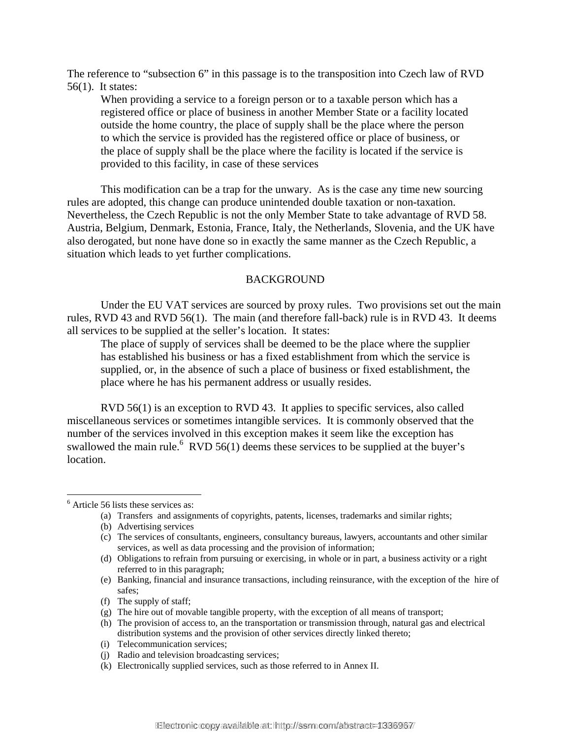The reference to "subsection 6" in this passage is to the transposition into Czech law of RVD 56(1). It states:

When providing a service to a foreign person or to a taxable person which has a registered office or place of business in another Member State or a facility located outside the home country, the place of supply shall be the place where the person to which the service is provided has the registered office or place of business, or the place of supply shall be the place where the facility is located if the service is provided to this facility, in case of these services

This modification can be a trap for the unwary. As is the case any time new sourcing rules are adopted, this change can produce unintended double taxation or non-taxation. Nevertheless, the Czech Republic is not the only Member State to take advantage of RVD 58. Austria, Belgium, Denmark, Estonia, France, Italy, the Netherlands, Slovenia, and the UK have also derogated, but none have done so in exactly the same manner as the Czech Republic, a situation which leads to yet further complications.

#### BACKGROUND

 Under the EU VAT services are sourced by proxy rules. Two provisions set out the main rules, RVD 43 and RVD 56(1). The main (and therefore fall-back) rule is in RVD 43. It deems all services to be supplied at the seller's location. It states:

The place of supply of services shall be deemed to be the place where the supplier has established his business or has a fixed establishment from which the service is supplied, or, in the absence of such a place of business or fixed establishment, the place where he has his permanent address or usually resides.

 RVD 56(1) is an exception to RVD 43. It applies to specific services, also called miscellaneous services or sometimes intangible services. It is commonly observed that the number of the services involved in this exception makes it seem like the exception has swallowed the main rule.  $RVD$  56(1) deems these services to be supplied at the buyer's location.

l

(b) Advertising services

(f) The supply of staff;

- (h) The provision of access to, an the transportation or transmission through, natural gas and electrical distribution systems and the provision of other services directly linked thereto;
- (i) Telecommunication services;
- (j) Radio and television broadcasting services;
- (k) Electronically supplied services, such as those referred to in Annex II.

<sup>6</sup> Article 56 lists these services as:

<sup>(</sup>a) Transfers and assignments of copyrights, patents, licenses, trademarks and similar rights;

<sup>(</sup>c) The services of consultants, engineers, consultancy bureaus, lawyers, accountants and other similar services, as well as data processing and the provision of information;

<sup>(</sup>d) Obligations to refrain from pursuing or exercising, in whole or in part, a business activity or a right referred to in this paragraph;

<sup>(</sup>e) Banking, financial and insurance transactions, including reinsurance, with the exception of the hire of safes;

<sup>(</sup>g) The hire out of movable tangible property, with the exception of all means of transport;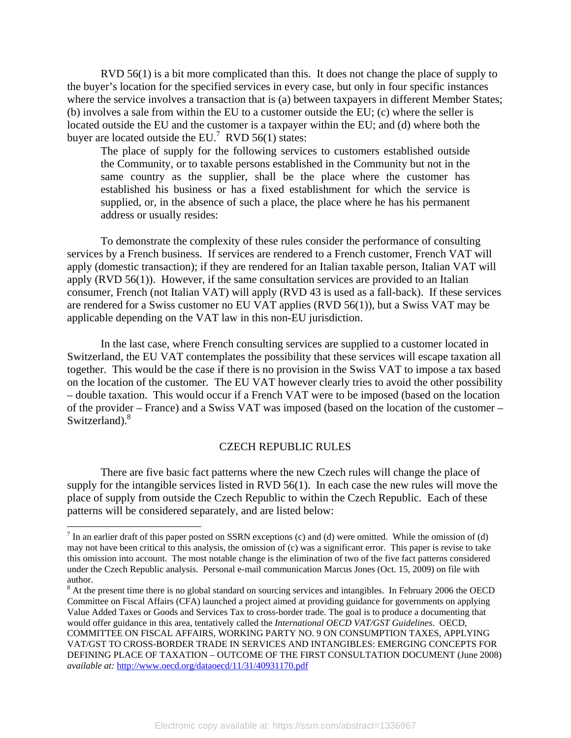RVD 56(1) is a bit more complicated than this. It does not change the place of supply to the buyer's location for the specified services in every case, but only in four specific instances where the service involves a transaction that is (a) between taxpayers in different Member States; (b) involves a sale from within the EU to a customer outside the EU; (c) where the seller is located outside the EU and the customer is a taxpayer within the EU; and (d) where both the buyer are located outside the EU.<sup>7</sup> RVD 56(1) states:

The place of supply for the following services to customers established outside the Community, or to taxable persons established in the Community but not in the same country as the supplier, shall be the place where the customer has established his business or has a fixed establishment for which the service is supplied, or, in the absence of such a place, the place where he has his permanent address or usually resides:

To demonstrate the complexity of these rules consider the performance of consulting services by a French business. If services are rendered to a French customer, French VAT will apply (domestic transaction); if they are rendered for an Italian taxable person, Italian VAT will apply (RVD 56(1)). However, if the same consultation services are provided to an Italian consumer, French (not Italian VAT) will apply (RVD 43 is used as a fall-back). If these services are rendered for a Swiss customer no EU VAT applies (RVD 56(1)), but a Swiss VAT may be applicable depending on the VAT law in this non-EU jurisdiction.

In the last case, where French consulting services are supplied to a customer located in Switzerland, the EU VAT contemplates the possibility that these services will escape taxation all together. This would be the case if there is no provision in the Swiss VAT to impose a tax based on the location of the customer. The EU VAT however clearly tries to avoid the other possibility – double taxation. This would occur if a French VAT were to be imposed (based on the location of the provider – France) and a Swiss VAT was imposed (based on the location of the customer – Switzerland).<sup>8</sup>

#### CZECH REPUBLIC RULES

There are five basic fact patterns where the new Czech rules will change the place of supply for the intangible services listed in RVD 56(1). In each case the new rules will move the place of supply from outside the Czech Republic to within the Czech Republic. Each of these patterns will be considered separately, and are listed below:

 $<sup>7</sup>$  In an earlier draft of this paper posted on SSRN exceptions (c) and (d) were omitted. While the omission of (d)</sup> may not have been critical to this analysis, the omission of (c) was a significant error. This paper is revise to take this omission into account. The most notable change is the elimination of two of the five fact patterns considered under the Czech Republic analysis. Personal e-mail communication Marcus Jones (Oct. 15, 2009) on file with author.

 $8$  At the present time there is no global standard on sourcing services and intangibles. In February 2006 the OECD Committee on Fiscal Affairs (CFA) launched a project aimed at providing guidance for governments on applying Value Added Taxes or Goods and Services Tax to cross-border trade. The goal is to produce a documenting that would offer guidance in this area, tentatively called the *International OECD VAT/GST Guidelines*. OECD, COMMITTEE ON FISCAL AFFAIRS, WORKING PARTY NO. 9 ON CONSUMPTION TAXES, APPLYING VAT/GST TO CROSS-BORDER TRADE IN SERVICES AND INTANGIBLES: EMERGING CONCEPTS FOR DEFINING PLACE OF TAXATION – OUTCOME OF THE FIRST CONSULTATION DOCUMENT (June 2008) *available at:* http://www.oecd.org/dataoecd/11/31/40931170.pdf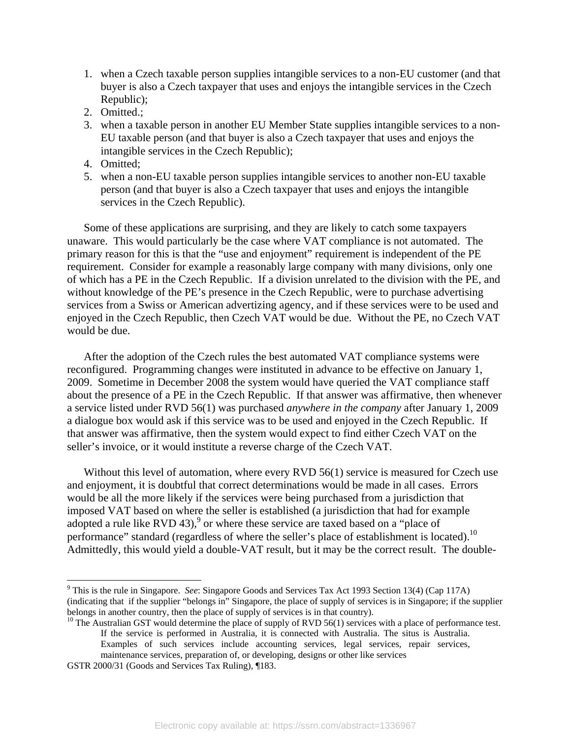- 1. when a Czech taxable person supplies intangible services to a non-EU customer (and that buyer is also a Czech taxpayer that uses and enjoys the intangible services in the Czech Republic);
- 2. Omitted.;
- 3. when a taxable person in another EU Member State supplies intangible services to a non-EU taxable person (and that buyer is also a Czech taxpayer that uses and enjoys the intangible services in the Czech Republic);
- 4. Omitted;
- 5. when a non-EU taxable person supplies intangible services to another non-EU taxable person (and that buyer is also a Czech taxpayer that uses and enjoys the intangible services in the Czech Republic).

Some of these applications are surprising, and they are likely to catch some taxpayers unaware. This would particularly be the case where VAT compliance is not automated. The primary reason for this is that the "use and enjoyment" requirement is independent of the PE requirement. Consider for example a reasonably large company with many divisions, only one of which has a PE in the Czech Republic. If a division unrelated to the division with the PE, and without knowledge of the PE's presence in the Czech Republic, were to purchase advertising services from a Swiss or American advertizing agency, and if these services were to be used and enjoyed in the Czech Republic, then Czech VAT would be due. Without the PE, no Czech VAT would be due.

After the adoption of the Czech rules the best automated VAT compliance systems were reconfigured. Programming changes were instituted in advance to be effective on January 1, 2009. Sometime in December 2008 the system would have queried the VAT compliance staff about the presence of a PE in the Czech Republic. If that answer was affirmative, then whenever a service listed under RVD 56(1) was purchased *anywhere in the company* after January 1, 2009 a dialogue box would ask if this service was to be used and enjoyed in the Czech Republic. If that answer was affirmative, then the system would expect to find either Czech VAT on the seller's invoice, or it would institute a reverse charge of the Czech VAT.

Without this level of automation, where every RVD 56(1) service is measured for Czech use and enjoyment, it is doubtful that correct determinations would be made in all cases. Errors would be all the more likely if the services were being purchased from a jurisdiction that imposed VAT based on where the seller is established (a jurisdiction that had for example adopted a rule like RVD 43),<sup>9</sup> or where these service are taxed based on a "place of performance" standard (regardless of where the seller's place of establishment is located).<sup>10</sup> Admittedly, this would yield a double-VAT result, but it may be the correct result. The double-

If the service is performed in Australia, it is connected with Australia. The situs is Australia. Examples of such services include accounting services, legal services, repair services, maintenance services, preparation of, or developing, designs or other like services

<sup>&</sup>lt;sup>9</sup> This is the rule in Singapore. *See*: Singapore Goods and Services Tax Act 1993 Section 13(4) (Cap 117A) (indicating that if the supplier "belongs in" Singapore, the place of supply of services is in Singapore; if the supplier belongs in another country, then the place of supply of services is in that country).<br><sup>10</sup> The Australian GST would determine the place of supply of RVD 56(1) services with a place of performance test.

GSTR 2000/31 (Goods and Services Tax Ruling), ¶183.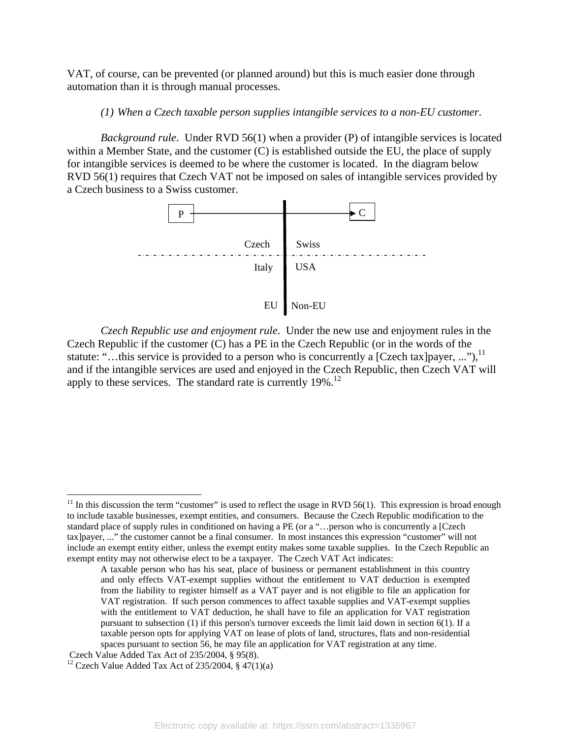VAT, of course, can be prevented (or planned around) but this is much easier done through automation than it is through manual processes.

## *(1) When a Czech taxable person supplies intangible services to a non-EU customer*.

*Background rule*. Under RVD 56(1) when a provider (P) of intangible services is located within a Member State, and the customer (C) is established outside the EU, the place of supply for intangible services is deemed to be where the customer is located. In the diagram below RVD 56(1) requires that Czech VAT not be imposed on sales of intangible services provided by a Czech business to a Swiss customer.



*Czech Republic use and enjoyment rule*. Under the new use and enjoyment rules in the Czech Republic if the customer (C) has a PE in the Czech Republic (or in the words of the statute: "...this service is provided to a person who is concurrently a [Czech tax]payer, ..."),<sup>11</sup> and if the intangible services are used and enjoyed in the Czech Republic, then Czech VAT will apply to these services. The standard rate is currently  $19\%$ <sup>12</sup>

 $11$  In this discussion the term "customer" is used to reflect the usage in RVD 56(1). This expression is broad enough to include taxable businesses, exempt entities, and consumers. Because the Czech Republic modification to the standard place of supply rules in conditioned on having a PE (or a "…person who is concurrently a [Czech tax]payer, ..." the customer cannot be a final consumer. In most instances this expression "customer" will not include an exempt entity either, unless the exempt entity makes some taxable supplies. In the Czech Republic an exempt entity may not otherwise elect to be a taxpayer. The Czech VAT Act indicates:

A taxable person who has his seat, place of business or permanent establishment in this country and only effects VAT-exempt supplies without the entitlement to VAT deduction is exempted from the liability to register himself as a VAT payer and is not eligible to file an application for VAT registration. If such person commences to affect taxable supplies and VAT-exempt supplies with the entitlement to VAT deduction, he shall have to file an application for VAT registration pursuant to subsection (1) if this person's turnover exceeds the limit laid down in section 6(1). If a taxable person opts for applying VAT on lease of plots of land, structures, flats and non-residential spaces pursuant to section 56, he may file an application for VAT registration at any time.

Czech Value Added Tax Act of 235/2004, § 95(8).<br><sup>12</sup> Czech Value Added Tax Act of 235/2004, § 47(1)(a)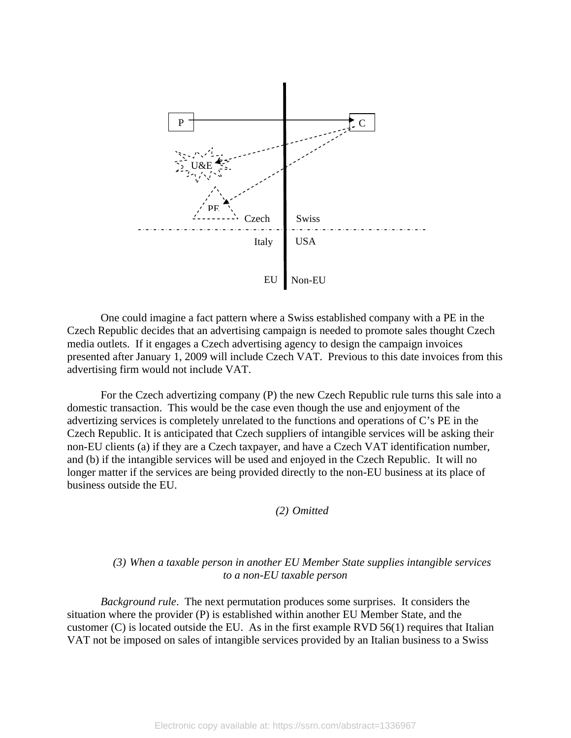

 One could imagine a fact pattern where a Swiss established company with a PE in the Czech Republic decides that an advertising campaign is needed to promote sales thought Czech media outlets. If it engages a Czech advertising agency to design the campaign invoices presented after January 1, 2009 will include Czech VAT. Previous to this date invoices from this advertising firm would not include VAT.

For the Czech advertizing company (P) the new Czech Republic rule turns this sale into a domestic transaction. This would be the case even though the use and enjoyment of the advertizing services is completely unrelated to the functions and operations of C's PE in the Czech Republic. It is anticipated that Czech suppliers of intangible services will be asking their non-EU clients (a) if they are a Czech taxpayer, and have a Czech VAT identification number, and (b) if the intangible services will be used and enjoyed in the Czech Republic. It will no longer matter if the services are being provided directly to the non-EU business at its place of business outside the EU.

*(2) Omitted* 

## *(3) When a taxable person in another EU Member State supplies intangible services to a non-EU taxable person*

*Background rule*. The next permutation produces some surprises. It considers the situation where the provider (P) is established within another EU Member State, and the customer (C) is located outside the EU. As in the first example RVD 56(1) requires that Italian VAT not be imposed on sales of intangible services provided by an Italian business to a Swiss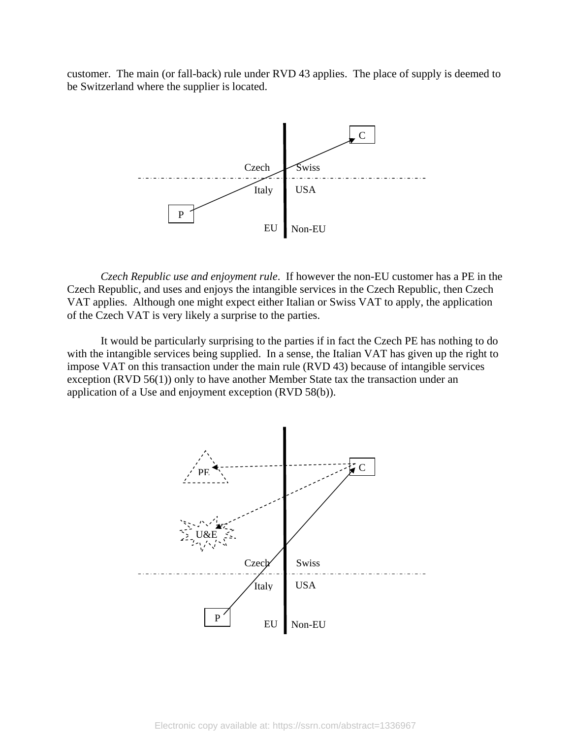customer. The main (or fall-back) rule under RVD 43 applies. The place of supply is deemed to be Switzerland where the supplier is located.



*Czech Republic use and enjoyment rule*. If however the non-EU customer has a PE in the Czech Republic, and uses and enjoys the intangible services in the Czech Republic, then Czech VAT applies. Although one might expect either Italian or Swiss VAT to apply, the application of the Czech VAT is very likely a surprise to the parties.

It would be particularly surprising to the parties if in fact the Czech PE has nothing to do with the intangible services being supplied. In a sense, the Italian VAT has given up the right to impose VAT on this transaction under the main rule (RVD 43) because of intangible services exception (RVD 56(1)) only to have another Member State tax the transaction under an application of a Use and enjoyment exception (RVD 58(b)).

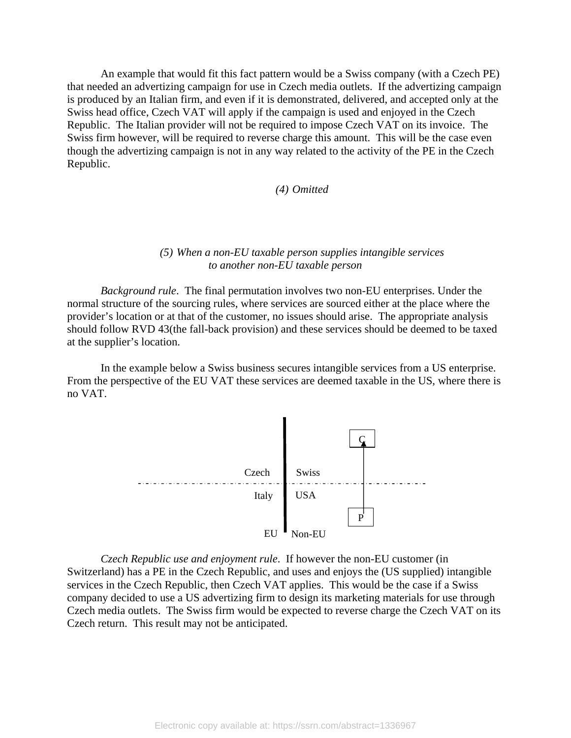An example that would fit this fact pattern would be a Swiss company (with a Czech PE) that needed an advertizing campaign for use in Czech media outlets. If the advertizing campaign is produced by an Italian firm, and even if it is demonstrated, delivered, and accepted only at the Swiss head office, Czech VAT will apply if the campaign is used and enjoyed in the Czech Republic. The Italian provider will not be required to impose Czech VAT on its invoice. The Swiss firm however, will be required to reverse charge this amount. This will be the case even though the advertizing campaign is not in any way related to the activity of the PE in the Czech Republic.

*(4) Omitted* 

### *(5) When a non-EU taxable person supplies intangible services to another non-EU taxable person*

*Background rule*. The final permutation involves two non-EU enterprises. Under the normal structure of the sourcing rules, where services are sourced either at the place where the provider's location or at that of the customer, no issues should arise. The appropriate analysis should follow RVD 43(the fall-back provision) and these services should be deemed to be taxed at the supplier's location.

In the example below a Swiss business secures intangible services from a US enterprise. From the perspective of the EU VAT these services are deemed taxable in the US, where there is no VAT.



*Czech Republic use and enjoyment rule*. If however the non-EU customer (in Switzerland) has a PE in the Czech Republic, and uses and enjoys the (US supplied) intangible services in the Czech Republic, then Czech VAT applies. This would be the case if a Swiss company decided to use a US advertizing firm to design its marketing materials for use through Czech media outlets. The Swiss firm would be expected to reverse charge the Czech VAT on its Czech return. This result may not be anticipated.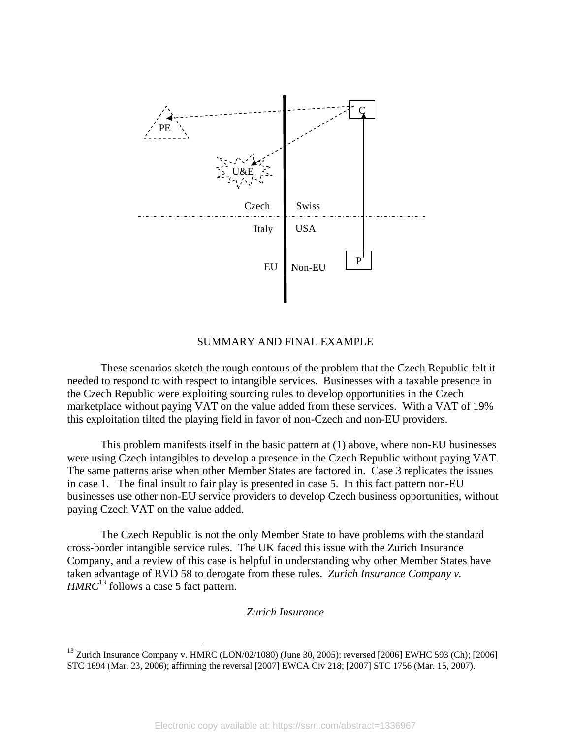

#### SUMMARY AND FINAL EXAMPLE

 These scenarios sketch the rough contours of the problem that the Czech Republic felt it needed to respond to with respect to intangible services. Businesses with a taxable presence in the Czech Republic were exploiting sourcing rules to develop opportunities in the Czech marketplace without paying VAT on the value added from these services. With a VAT of 19% this exploitation tilted the playing field in favor of non-Czech and non-EU providers.

This problem manifests itself in the basic pattern at (1) above, where non-EU businesses were using Czech intangibles to develop a presence in the Czech Republic without paying VAT. The same patterns arise when other Member States are factored in. Case 3 replicates the issues in case 1. The final insult to fair play is presented in case 5. In this fact pattern non-EU businesses use other non-EU service providers to develop Czech business opportunities, without paying Czech VAT on the value added.

The Czech Republic is not the only Member State to have problems with the standard cross-border intangible service rules. The UK faced this issue with the Zurich Insurance Company, and a review of this case is helpful in understanding why other Member States have taken advantage of RVD 58 to derogate from these rules. *Zurich Insurance Company v. HMRC*<sup>13</sup> follows a case 5 fact pattern.

#### *Zurich Insurance*

<sup>&</sup>lt;sup>13</sup> Zurich Insurance Company v. HMRC (LON/02/1080) (June 30, 2005); reversed [2006] EWHC 593 (Ch); [2006] STC 1694 (Mar. 23, 2006); affirming the reversal [2007] EWCA Civ 218; [2007] STC 1756 (Mar. 15, 2007).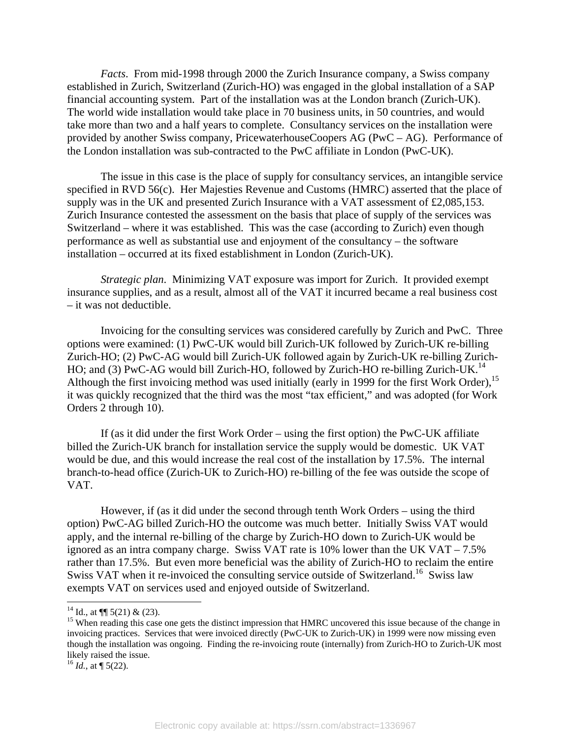*Facts*. From mid-1998 through 2000 the Zurich Insurance company, a Swiss company established in Zurich, Switzerland (Zurich-HO) was engaged in the global installation of a SAP financial accounting system. Part of the installation was at the London branch (Zurich-UK). The world wide installation would take place in 70 business units, in 50 countries, and would take more than two and a half years to complete. Consultancy services on the installation were provided by another Swiss company, PricewaterhouseCoopers AG (PwC – AG). Performance of the London installation was sub-contracted to the PwC affiliate in London (PwC-UK).

The issue in this case is the place of supply for consultancy services, an intangible service specified in RVD 56(c). Her Majesties Revenue and Customs (HMRC) asserted that the place of supply was in the UK and presented Zurich Insurance with a VAT assessment of £2,085,153. Zurich Insurance contested the assessment on the basis that place of supply of the services was Switzerland – where it was established. This was the case (according to Zurich) even though performance as well as substantial use and enjoyment of the consultancy – the software installation – occurred at its fixed establishment in London (Zurich-UK).

*Strategic plan*. Minimizing VAT exposure was import for Zurich. It provided exempt insurance supplies, and as a result, almost all of the VAT it incurred became a real business cost – it was not deductible.

Invoicing for the consulting services was considered carefully by Zurich and PwC. Three options were examined: (1) PwC-UK would bill Zurich-UK followed by Zurich-UK re-billing Zurich-HO; (2) PwC-AG would bill Zurich-UK followed again by Zurich-UK re-billing Zurich-HO; and (3) PwC-AG would bill Zurich-HO, followed by Zurich-HO re-billing Zurich-UK.<sup>14</sup> Although the first invoicing method was used initially (early in 1999 for the first Work Order),  $^{15}$ it was quickly recognized that the third was the most "tax efficient," and was adopted (for Work Orders 2 through 10).

If (as it did under the first Work Order – using the first option) the PwC-UK affiliate billed the Zurich-UK branch for installation service the supply would be domestic. UK VAT would be due, and this would increase the real cost of the installation by 17.5%. The internal branch-to-head office (Zurich-UK to Zurich-HO) re-billing of the fee was outside the scope of VAT.

However, if (as it did under the second through tenth Work Orders – using the third option) PwC-AG billed Zurich-HO the outcome was much better. Initially Swiss VAT would apply, and the internal re-billing of the charge by Zurich-HO down to Zurich-UK would be ignored as an intra company charge. Swiss VAT rate is 10% lower than the UK VAT – 7.5% rather than 17.5%. But even more beneficial was the ability of Zurich-HO to reclaim the entire Swiss VAT when it re-invoiced the consulting service outside of Switzerland.<sup>16</sup> Swiss law exempts VAT on services used and enjoyed outside of Switzerland.

 $^{16}$  *Id.*, at  $\P$  5(22).

<sup>&</sup>lt;sup>14</sup> Id., at  $\P$  5(21) & (23).

<sup>&</sup>lt;sup>15</sup> When reading this case one gets the distinct impression that HMRC uncovered this issue because of the change in invoicing practices. Services that were invoiced directly (PwC-UK to Zurich-UK) in 1999 were now missing even though the installation was ongoing. Finding the re-invoicing route (internally) from Zurich-HO to Zurich-UK most likely raised the issue.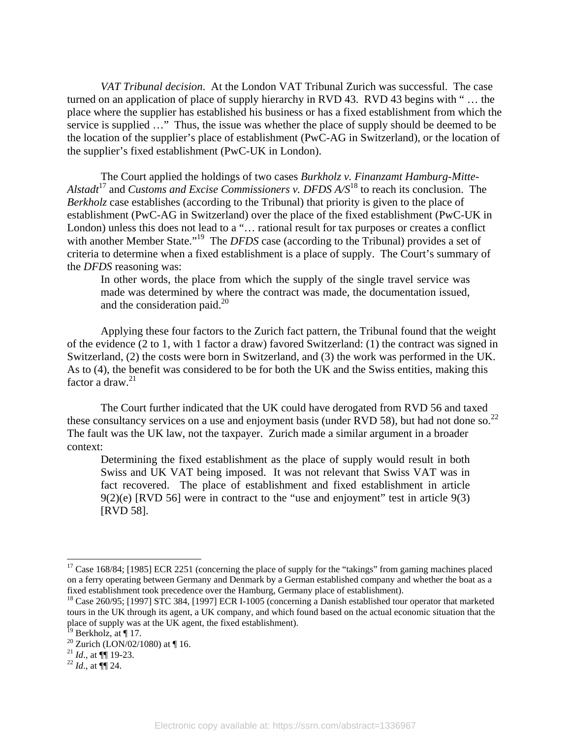*VAT Tribunal decision*. At the London VAT Tribunal Zurich was successful. The case turned on an application of place of supply hierarchy in RVD 43. RVD 43 begins with " … the place where the supplier has established his business or has a fixed establishment from which the service is supplied …" Thus, the issue was whether the place of supply should be deemed to be the location of the supplier's place of establishment (PwC-AG in Switzerland), or the location of the supplier's fixed establishment (PwC-UK in London).

The Court applied the holdings of two cases *Burkholz v. Finanzamt Hamburg-Mitte-Alstadt*17 and *Customs and Excise Commissioners v. DFDS A/S*18 to reach its conclusion. The *Berkholz* case establishes (according to the Tribunal) that priority is given to the place of establishment (PwC-AG in Switzerland) over the place of the fixed establishment (PwC-UK in London) unless this does not lead to a "… rational result for tax purposes or creates a conflict with another Member State."<sup>19</sup> The *DFDS* case (according to the Tribunal) provides a set of criteria to determine when a fixed establishment is a place of supply. The Court's summary of the *DFDS* reasoning was:

In other words, the place from which the supply of the single travel service was made was determined by where the contract was made, the documentation issued, and the consideration paid. $^{20}$ 

Applying these four factors to the Zurich fact pattern, the Tribunal found that the weight of the evidence (2 to 1, with 1 factor a draw) favored Switzerland: (1) the contract was signed in Switzerland, (2) the costs were born in Switzerland, and (3) the work was performed in the UK. As to (4), the benefit was considered to be for both the UK and the Swiss entities, making this factor a draw.<sup>21</sup>

The Court further indicated that the UK could have derogated from RVD 56 and taxed these consultancy services on a use and enjoyment basis (under RVD 58), but had not done so.<sup>22</sup> The fault was the UK law, not the taxpayer. Zurich made a similar argument in a broader context:

Determining the fixed establishment as the place of supply would result in both Swiss and UK VAT being imposed. It was not relevant that Swiss VAT was in fact recovered. The place of establishment and fixed establishment in article 9(2)(e) [RVD 56] were in contract to the "use and enjoyment" test in article 9(3) [RVD 58].

<sup>&</sup>lt;sup>17</sup> Case 168/84; [1985] ECR 2251 (concerning the place of supply for the "takings" from gaming machines placed on a ferry operating between Germany and Denmark by a German established company and whether the boat as a fixed establishment took precedence over the Hamburg, Germany place of establishment).<br><sup>18</sup> Case 260/95; [1997] STC 384, [1997] ECR I-1005 (concerning a Danish established tour operator that marketed

tours in the UK through its agent, a UK company, and which found based on the actual economic situation that the place of supply was at the UK agent, the fixed establishment).

 $19$  Berkholz, at | 17.

<sup>&</sup>lt;sup>20</sup> Zurich (LON/02/1080) at  $\P$  16.

 $^{21}$  *Id.*, at **[10** 19-23.  $^{22}$  *Id.*, at **[10** 24.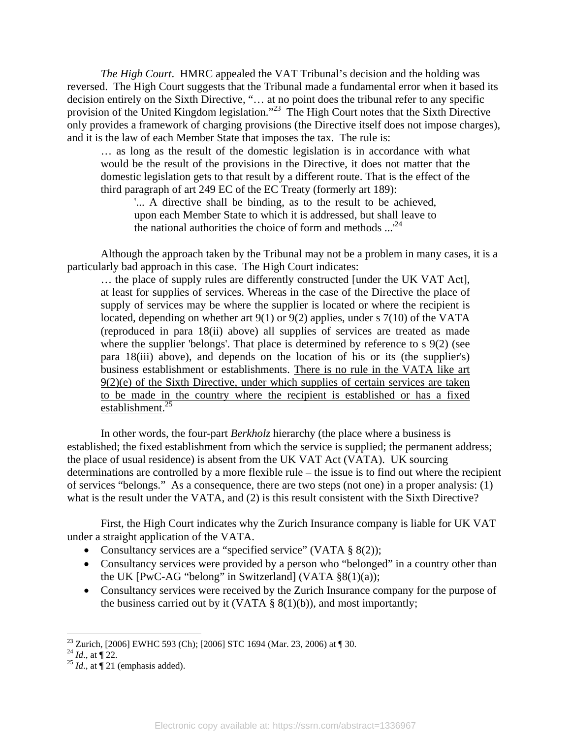*The High Court*. HMRC appealed the VAT Tribunal's decision and the holding was reversed. The High Court suggests that the Tribunal made a fundamental error when it based its decision entirely on the Sixth Directive, "… at no point does the tribunal refer to any specific provision of the United Kingdom legislation."<sup>23</sup> The High Court notes that the Sixth Directive only provides a framework of charging provisions (the Directive itself does not impose charges), and it is the law of each Member State that imposes the tax. The rule is:

… as long as the result of the domestic legislation is in accordance with what would be the result of the provisions in the Directive, it does not matter that the domestic legislation gets to that result by a different route. That is the effect of the third paragraph of art 249 EC of the EC Treaty (formerly art 189):

'... A directive shall be binding, as to the result to be achieved, upon each Member State to which it is addressed, but shall leave to the national authorities the choice of form and methods  $...^{24}$ 

Although the approach taken by the Tribunal may not be a problem in many cases, it is a particularly bad approach in this case. The High Court indicates:

… the place of supply rules are differently constructed [under the UK VAT Act], at least for supplies of services. Whereas in the case of the Directive the place of supply of services may be where the supplier is located or where the recipient is located, depending on whether art 9(1) or 9(2) applies, under s 7(10) of the VATA (reproduced in para 18(ii) above) all supplies of services are treated as made where the supplier 'belongs'. That place is determined by reference to s 9(2) (see para 18(iii) above), and depends on the location of his or its (the supplier's) business establishment or establishments. There is no rule in the VATA like art 9(2)(e) of the Sixth Directive, under which supplies of certain services are taken to be made in the country where the recipient is established or has a fixed establishment.<sup>25</sup>

 In other words, the four-part *Berkholz* hierarchy (the place where a business is established; the fixed establishment from which the service is supplied; the permanent address; the place of usual residence) is absent from the UK VAT Act (VATA). UK sourcing determinations are controlled by a more flexible rule – the issue is to find out where the recipient of services "belongs." As a consequence, there are two steps (not one) in a proper analysis: (1) what is the result under the VATA, and (2) is this result consistent with the Sixth Directive?

 First, the High Court indicates why the Zurich Insurance company is liable for UK VAT under a straight application of the VATA.

- Consultancy services are a "specified service" (VATA § 8(2));
- Consultancy services were provided by a person who "belonged" in a country other than the UK  $[PwC-AG$  "belong" in Switzerland]  $(VATA §8(1)(a))$ ;
- Consultancy services were received by the Zurich Insurance company for the purpose of the business carried out by it (VATA  $\S$  8(1)(b)), and most importantly;

<sup>&</sup>lt;sup>23</sup> Zurich, [2006] EWHC 593 (Ch); [2006] STC 1694 (Mar. 23, 2006) at  $\P$  30.

<sup>24</sup> *Id.*, at ¶ 22.<br><sup>25</sup> *Id.*, at ¶ 21 (emphasis added).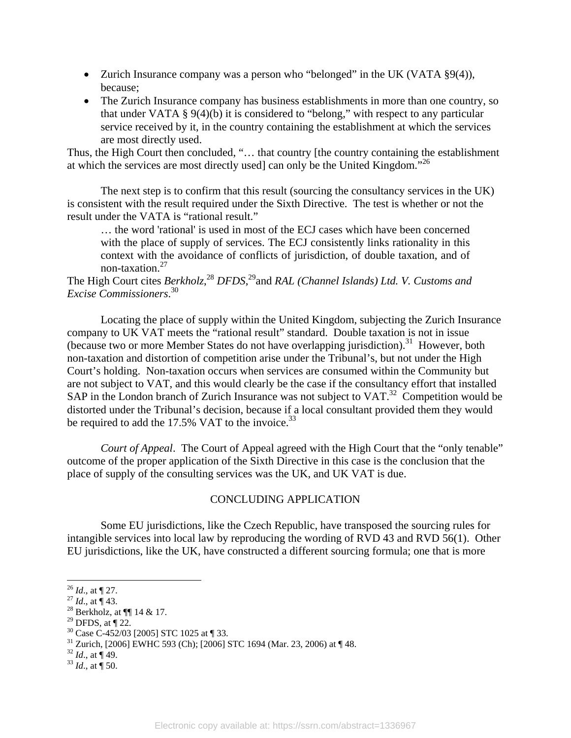- Zurich Insurance company was a person who "belonged" in the UK (VATA §9(4)), because;
- The Zurich Insurance company has business establishments in more than one country, so that under VATA § 9(4)(b) it is considered to "belong," with respect to any particular service received by it, in the country containing the establishment at which the services are most directly used.

Thus, the High Court then concluded, "… that country [the country containing the establishment at which the services are most directly used] can only be the United Kingdom."26

The next step is to confirm that this result (sourcing the consultancy services in the UK) is consistent with the result required under the Sixth Directive. The test is whether or not the result under the VATA is "rational result."

… the word 'rational' is used in most of the ECJ cases which have been concerned with the place of supply of services. The ECJ consistently links rationality in this context with the avoidance of conflicts of jurisdiction, of double taxation, and of non-taxation.27

The High Court cites *Berkholz*,<sup>28</sup> DFDS,<sup>29</sup> and *RAL (Channel Islands) Ltd. V. Customs and Excise Commissioners*. 30

Locating the place of supply within the United Kingdom, subjecting the Zurich Insurance company to UK VAT meets the "rational result" standard. Double taxation is not in issue (because two or more Member States do not have overlapping jurisdiction).<sup>31</sup> However, both non-taxation and distortion of competition arise under the Tribunal's, but not under the High Court's holding. Non-taxation occurs when services are consumed within the Community but are not subject to VAT, and this would clearly be the case if the consultancy effort that installed SAP in the London branch of Zurich Insurance was not subject to VAT.<sup>32</sup> Competition would be distorted under the Tribunal's decision, because if a local consultant provided them they would be required to add the 17.5% VAT to the invoice.  $33$ 

*Court of Appeal*. The Court of Appeal agreed with the High Court that the "only tenable" outcome of the proper application of the Sixth Directive in this case is the conclusion that the place of supply of the consulting services was the UK, and UK VAT is due.

#### CONCLUDING APPLICATION

 Some EU jurisdictions, like the Czech Republic, have transposed the sourcing rules for intangible services into local law by reproducing the wording of RVD 43 and RVD 56(1). Other EU jurisdictions, like the UK, have constructed a different sourcing formula; one that is more

 $29$  DFDS, at  $\P$  22.

l

<sup>&</sup>lt;sup>26</sup> *Id.*, at ¶ 27.<br><sup>27</sup> *Id.*, at ¶ 43.<br><sup>28</sup> Berkholz, at ¶¶ 14 & 17.

<sup>30</sup> Case C-452/03 [2005] STC 1025 at ¶ 33.

 $31$  Zurich, [2006] EWHC 593 (Ch); [2006] STC 1694 (Mar. 23, 2006) at  $\P$  48.

<sup>32</sup> *Id*., at ¶ 49. 33 *Id*., at ¶ 50.